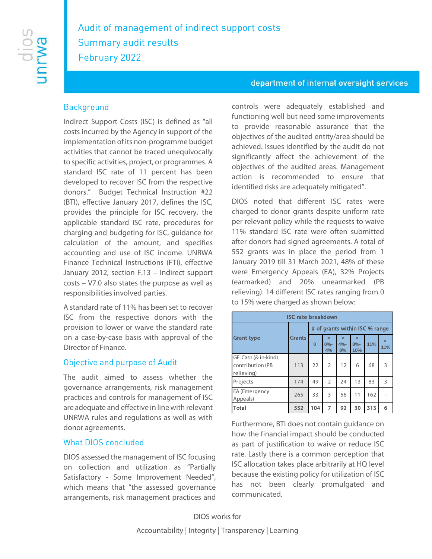# Audit of management of indirect support costs Summary audit results February 2022

### **Background**

Indirect Support Costs (ISC) is defined as "all costs incurred by the Agency in support of the implementation of its non-programme budget activities that cannot be traced unequivocally to specific activities, project, or programmes. A standard ISC rate of 11 percent has been developed to recover ISC from the respective donors." Budget Technical Instruction #22 (BTI), effective January 2017, defines the ISC, provides the principle for ISC recovery, the applicable standard ISC rate, procedures for charging and budgeting for ISC, guidance for calculation of the amount, and specifies accounting and use of ISC income. UNRWA Finance Technical Instructions (FTI), effective January 2012, section F.13 – Indirect support costs – V7.0 also states the purpose as well as responsibilities involved parties.

A standard rate of 11% has been set to recover ISC from the respective donors with the provision to lower or waive the standard rate on a case-by-case basis with approval of the Director of Finance.

#### Objective and purpose of Audit

The audit aimed to assess whether the governance arrangements, risk management practices and controls for management of ISC are adequate and effective in line with relevant UNRWA rules and regulations as well as with donor agreements.

#### What DIOS concluded

DIOS assessed the management of ISC focusing on collection and utilization as "Partially Satisfactory - Some Improvement Needed", which means that "the assessed governance arrangements, risk management practices and

#### department of internal oversight services

controls were adequately established and functioning well but need some improvements to provide reasonable assurance that the objectives of the audited entity/area should be achieved. Issues identified by the audit do not significantly affect the achievement of the objectives of the audited areas. Management action is recommended to ensure that identified risks are adequately mitigated".

DIOS noted that different ISC rates were charged to donor grants despite uniform rate per relevant policy while the requests to waive 11% standard ISC rate were often submitted after donors had signed agreements. A total of 552 grants was in place the period from 1 January 2019 till 31 March 2021, 48% of these were Emergency Appeals (EA), 32% Projects (earmarked) and 20% unearmarked (PB relieving). 14 different ISC rates ranging from 0 to 15% were charged as shown below:

| <b>ISC rate breakdown</b>                              |               |                                |                        |                        |                         |     |               |
|--------------------------------------------------------|---------------|--------------------------------|------------------------|------------------------|-------------------------|-----|---------------|
| <b>Grant type</b>                                      | <b>Grants</b> | # of grants within ISC % range |                        |                        |                         |     |               |
|                                                        |               | $\bf{0}$                       | $\geq$<br>$0% -$<br>4% | $\geq$<br>$4% -$<br>8% | $\geq$<br>$8% -$<br>10% | 11% | $\geq$<br>11% |
| GF: Cash (& in-kind)<br>contribution (PB<br>relieving) | 113           | 22                             | $\overline{2}$         | 12                     | 6                       | 68  | 3             |
| Projects                                               | 174           | 49                             | $\overline{2}$         | 24                     | 13                      | 83  | 3             |
| EA (Emergency<br>Appeals)                              | 265           | 33                             | 3                      | 56                     | 11                      | 162 |               |
| Total                                                  | 552           | 104                            | 7                      | 92                     | 30                      | 313 | 6             |

Furthermore, BTI does not contain guidance on how the financial impact should be conducted as part of justification to waive or reduce ISC rate. Lastly there is a common perception that ISC allocation takes place arbitrarily at HQ level because the existing policy for utilization of ISC has not been clearly promulgated and communicated.